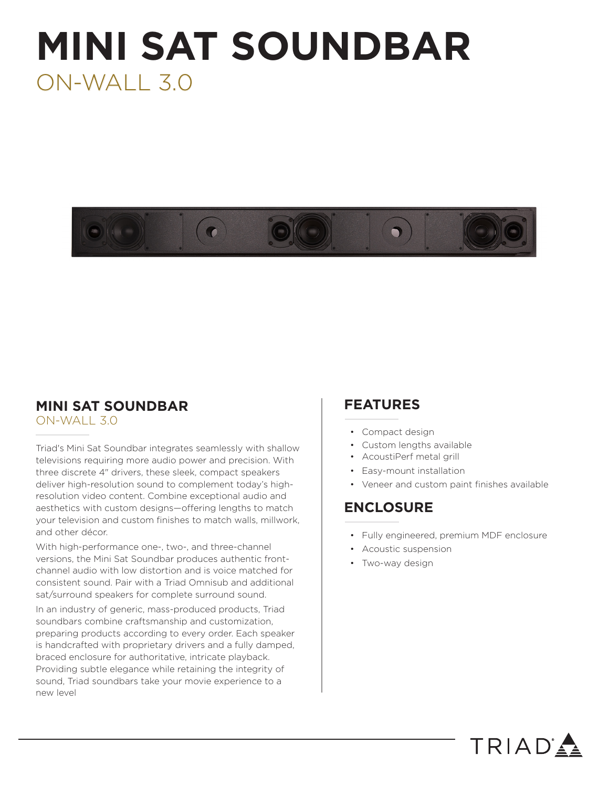# **MINI SAT SOUNDBAR** ON-WALL 3.0



# **MINI SAT SOUNDBAR**

ON-WALL 3.0

Triad's Mini Sat Soundbar integrates seamlessly with shallow televisions requiring more audio power and precision. With three discrete 4" drivers, these sleek, compact speakers deliver high-resolution sound to complement today's highresolution video content. Combine exceptional audio and aesthetics with custom designs—offering lengths to match your television and custom finishes to match walls, millwork, and other décor.

With high-performance one-, two-, and three-channel versions, the Mini Sat Soundbar produces authentic frontchannel audio with low distortion and is voice matched for consistent sound. Pair with a Triad Omnisub and additional sat/surround speakers for complete surround sound.

In an industry of generic, mass-produced products, Triad soundbars combine craftsmanship and customization, preparing products according to every order. Each speaker is handcrafted with proprietary drivers and a fully damped, braced enclosure for authoritative, intricate playback. Providing subtle elegance while retaining the integrity of sound, Triad soundbars take your movie experience to a new level

## **FEATURES**

- Compact design
- Custom lengths available
- AcoustiPerf metal grill
- Easy-mount installation
- Veneer and custom paint finishes available

# **ENCLOSURE**

• Fully engineered, premium MDF enclosure

TRIAD<sup>'</sup>

- Acoustic suspension
- Two-way design